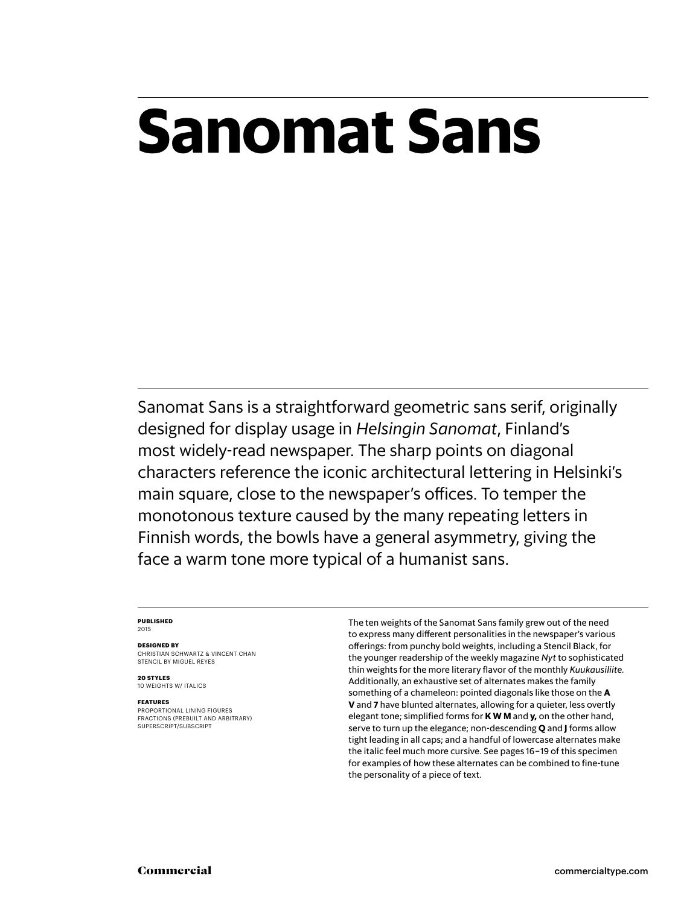# **Sanomat Sans**

Sanomat Sans is a straightforward geometric sans serif, originally designed for display usage in *Helsingin Sanomat*, Finland's most widely-read newspaper. The sharp points on diagonal characters reference the iconic architectural lettering in Helsinki's main square, close to the newspaper's offices. To temper the monotonous texture caused by the many repeating letters in Finnish words, the bowls have a general asymmetry, giving the face a warm tone more typical of a humanist sans.

#### **Published** 2015

#### **Designed by**

CHRISTIAN SCHWARTZ & VINCENT CHAN stencil by miguel reyes

**20 styles** 10 weights w/ ITALICS

#### **Features**

Proportional lining figures Fractions (prebuilt and arbitrary) SUPERSCRIPT/SUBSCRIPT

The ten weights of the Sanomat Sans family grew out of the need to express many different personalities in the newspaper's various offerings: from punchy bold weights, including a Stencil Black, for the younger readership of the weekly magazine *Nyt* to sophisticated thin weights for the more literary flavor of the monthly *Kuukausiliite.* Additionally, an exhaustive set of alternates makes the family something of a chameleon: pointed diagonals like those on the **A V** and **7** have blunted alternates, allowing for a quieter, less overtly elegant tone; simplified forms for **K W M** and **y,** on the other hand, serve to turn up the elegance; non-descending **Q** and **J** forms allow tight leading in all caps; and a handful of lowercase alternates make the italic feel much more cursive. See pages 16 – 19 of this specimen for examples of how these alternates can be combined to fine-tune the personality of a piece of text.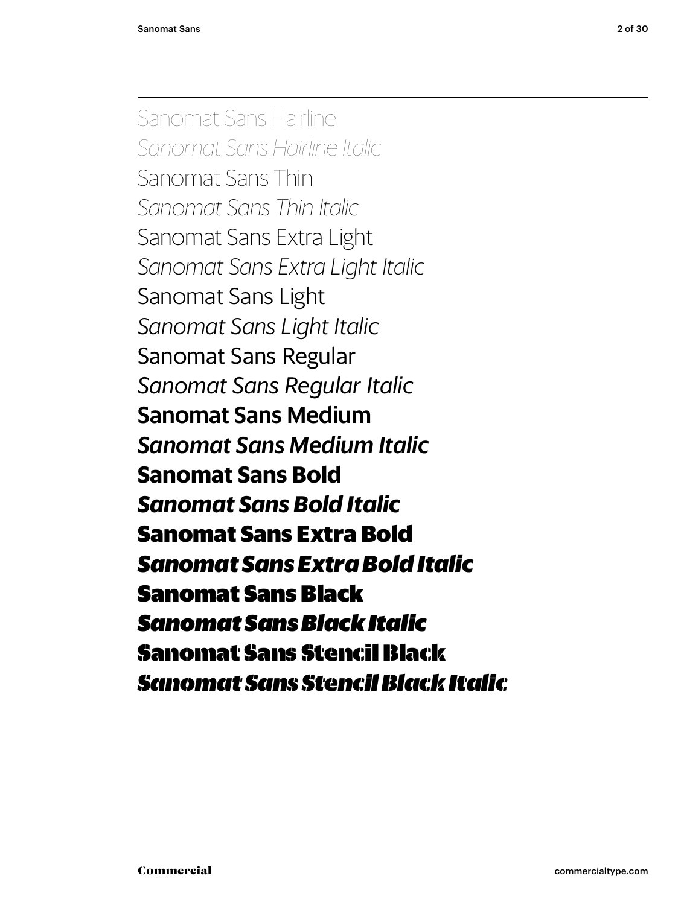Sanomat Sans Hairline *Sanomat Sans Hairline Italic* Sanomat Sans Thin *Sanomat Sans Thin Italic* Sanomat Sans Extra Light *Sanomat Sans Extra Light Italic* Sanomat Sans Light *Sanomat Sans Light Italic* Sanomat Sans Regular *Sanomat Sans Regular Italic* Sanomat Sans Medium *Sanomat Sans Medium Italic* **Sanomat Sans Bold** *Sanomat Sans Bold Italic* **Sanomat Sans Extra Bold** *Sanomat Sans Extra Bold Italic* Sanomat Sans Black *Sanomat Sans Black Italic* Sanomat Sans Stencil Black *Sanomat Sans Stencil Black Italic*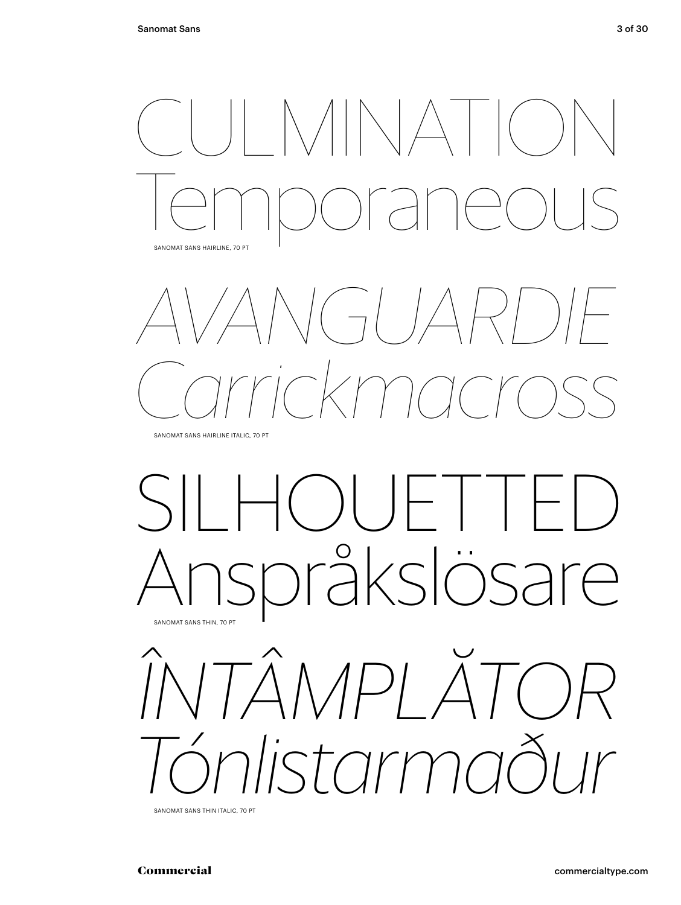



Sanomat Sans Hairline italic, 70 Pt

## silhouetted Anspråkslösare Sanomat Sans Thin, 70 Pt



Sanomat Sans Thin italic, 70 Pt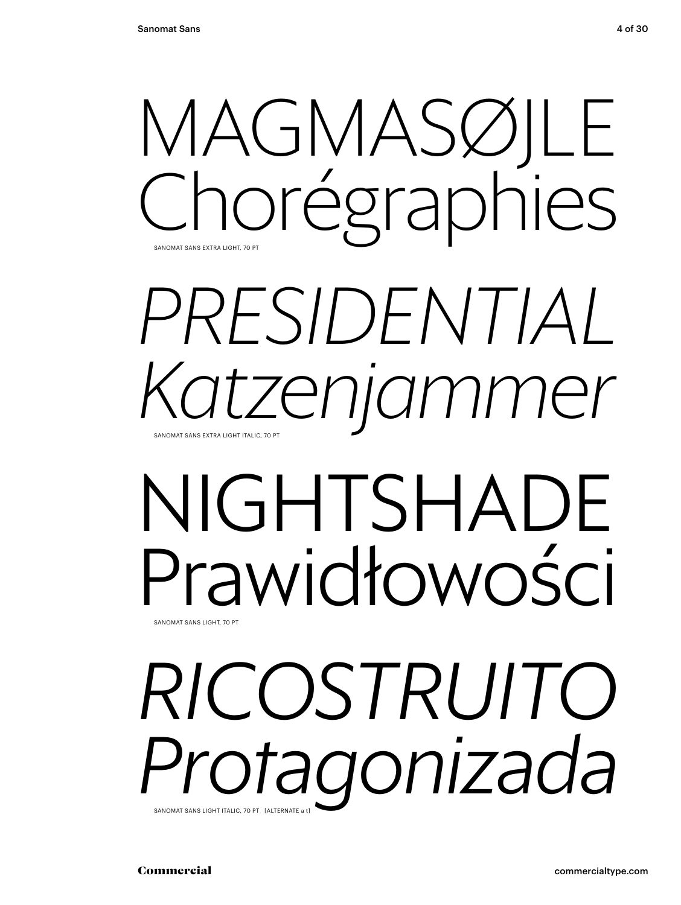

## *presidential Katzenjammer* Sanomat Sans Extra Light italic, 70 Pt

## NIGHTSHADE Prawidłowości Sanomat Sans Light, 70 Pt

## *Ricostruito Protagonizada* Sanomat Sans Light italic, 70 Pt [alternate a t]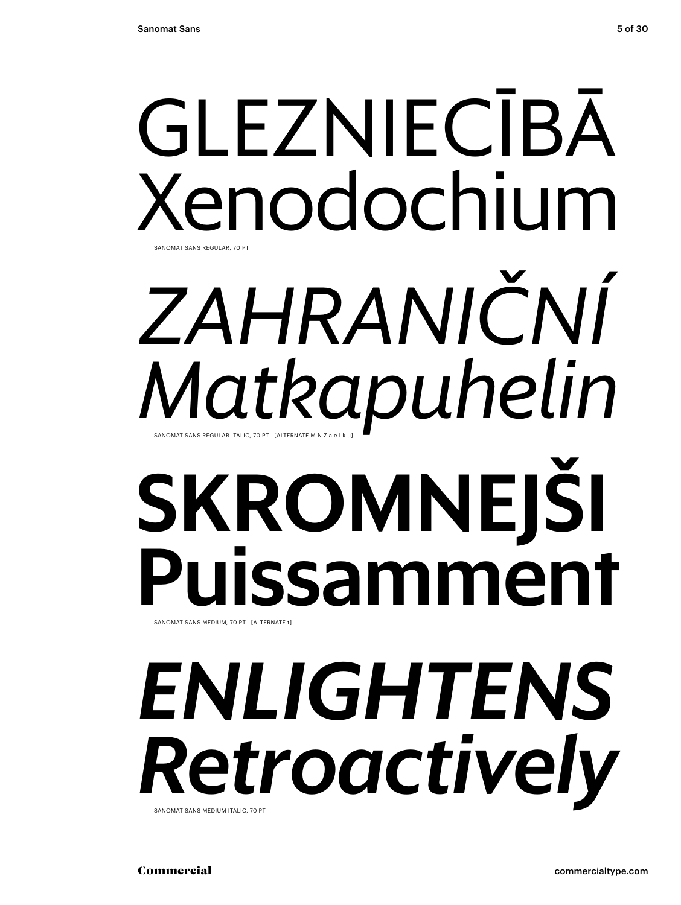# GLEZNIECĪBĀ Xenodochium Sanomat Sans Regular, 70 Pt

# SKROMNEJŠI Puissamment *Zahraniční Matkapuhelin* SANOMAT SANS REGULAR ITALIC, 70 PT [ALTERNATE M N 7 a e l

SANOMAT SANS MEDIUM, 70 PT [ALTERNATE t]

## *enlightens Retroactively* Sanomat Sans Medium italic, 70 Pt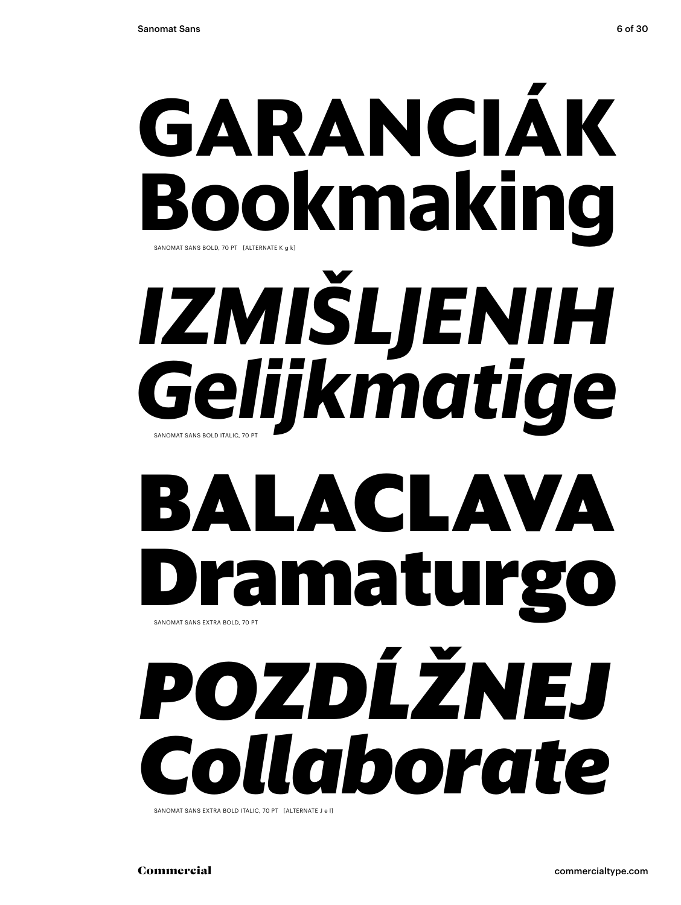# **Garanciák Bookmaking** *izmišljenih* Sanomat Sans bold, 70 Pt [alternate k g k]

### *Gelijkmatige* Sanomat Sans bold italic, 70 Pt

## **balaclava Dramaturgo**  SANOMAT SANS EXTRA BOLD, 70 PT

# *pozdĺžnej Collaborate*

SANOMAT SANS EXTRA BOLD ITALIC, 70 PT [ALTERNATE J e l]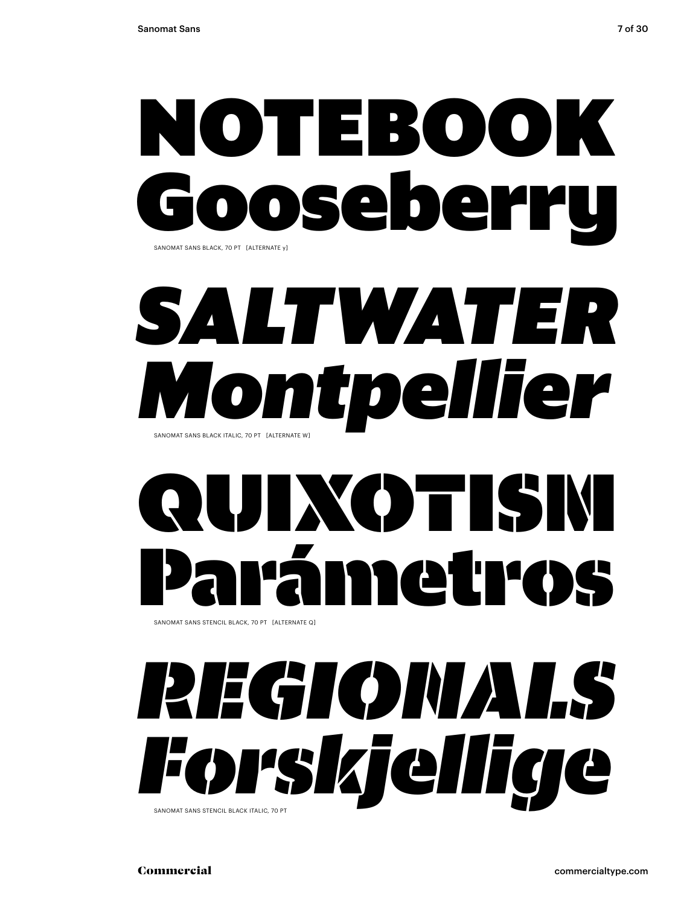

## *saltwater Montpellier* SANOMAT SANS BLACK ITALIC, 70 PT [ALTERNATE W]

# LIXOTISI Parámetros

SANOMAT SANS STENCIL BLACK, 70 PT [ALTERNATE Q]

## *regionals Forskjellige* Sanomat Sans stencil black italic, 70 Pt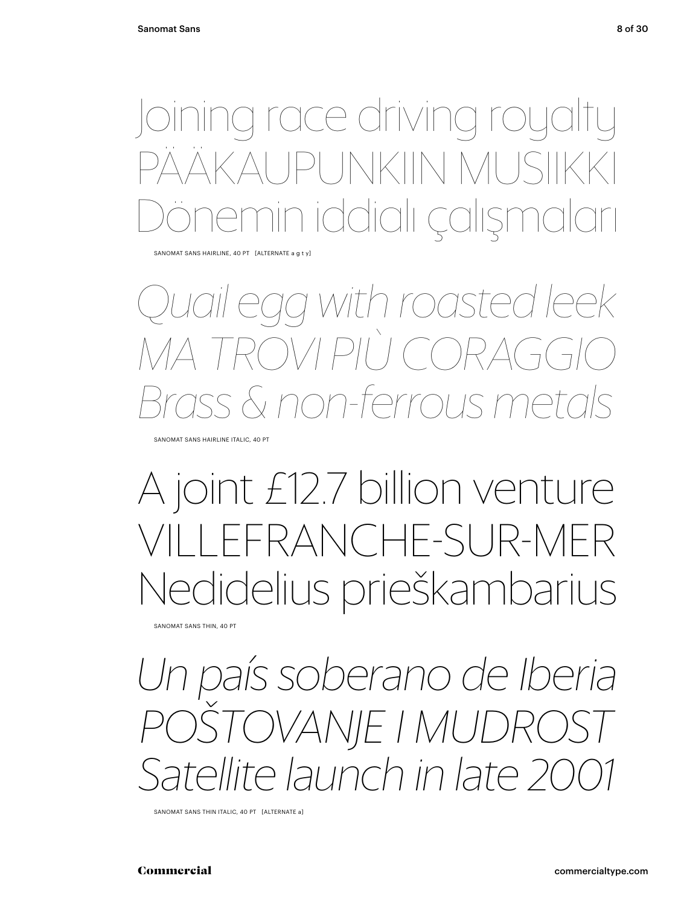a race driving roya  $JNNKINN$ n iddialı çalışı

SANOMAT SANS HAIRLINE, 40 PT [ALTERNATE a g t y]

#### *Quail egg with roasted leek*  $\bigcap \setminus \big/ \big| \big| \big/ \big|$ *Brass & non-ferrous metals*

Sanomat Sans Hairline italic, 40 Pt

### A joint £12.7 billion venture FRANCHE-SUR-MER Nedidelius prieškambarius

Sanomat Sans Thin, 40 Pt

*Un país soberano de Iberia poštovanje i mudrost Satellite launch in late 20* 

SANOMAT SANS THIN ITALIC, 40 PT [ALTERNATE a]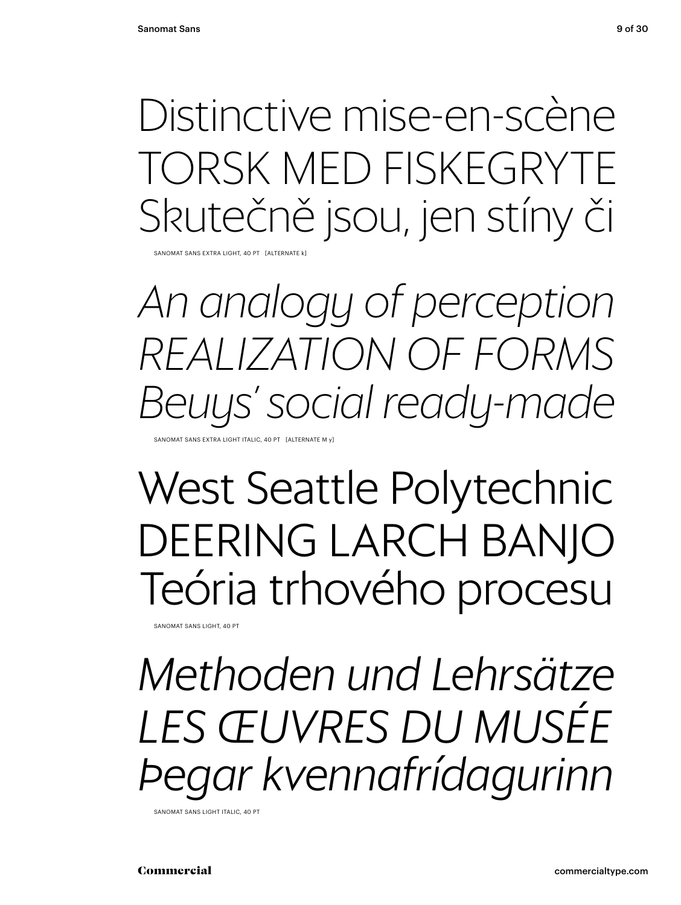Distinctive mise-en-scène torsk med Fiskegryte Skutečně jsou, jen stíny či

SANOMAT SANS EXTRA LIGHT, 40 PT [ALT

*An analogy of perception realization of forms Beuys' social ready-made*

Sanomat Sans Extra Light italic, 40 Pt [alternate m y]

### West Seattle Polytechnic DEERING LARCH BANJO Teória trhového procesu

SANOMAT SANS LIGHT, 40 PT

*Methoden und Lehrsätze les œuvres du musée Þegar kvennafrídagurinn*

Sanomat Sans Light italic, 40 Pt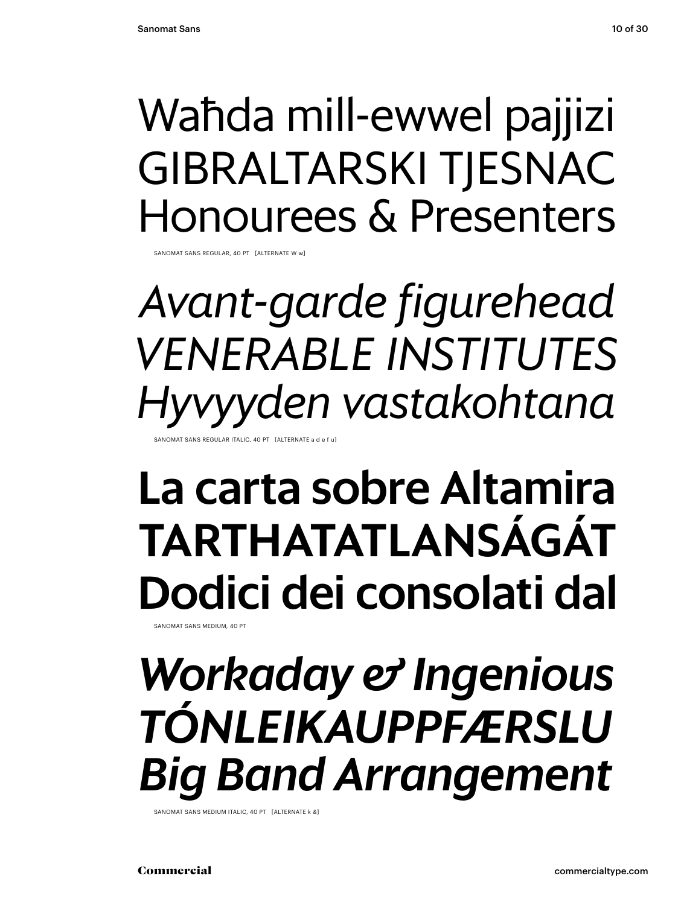### Waħda mill-ewwel pajjizi Gibraltarski tjesnac Honourees & Presenters

SANOMAT SANS REGULAR, 40 PT [ALTERNATE W w

*Avant-garde figurehead Venerable institutes Hyvyyden vastakohtana* 

ANOMAT SANS REGULAR ITALIC, 40 PT [ALTERNATE a d e f

#### La carta sobre Altamira tarthatatlanságát Dodici dei consolati dal Sanomat Sans Medium, 40 Pt

*Workaday & Ingenious tónleikauppfærslu Big Band Arrangement*

Sanomat Sans Medium italic, 40 Pt [alternate k &]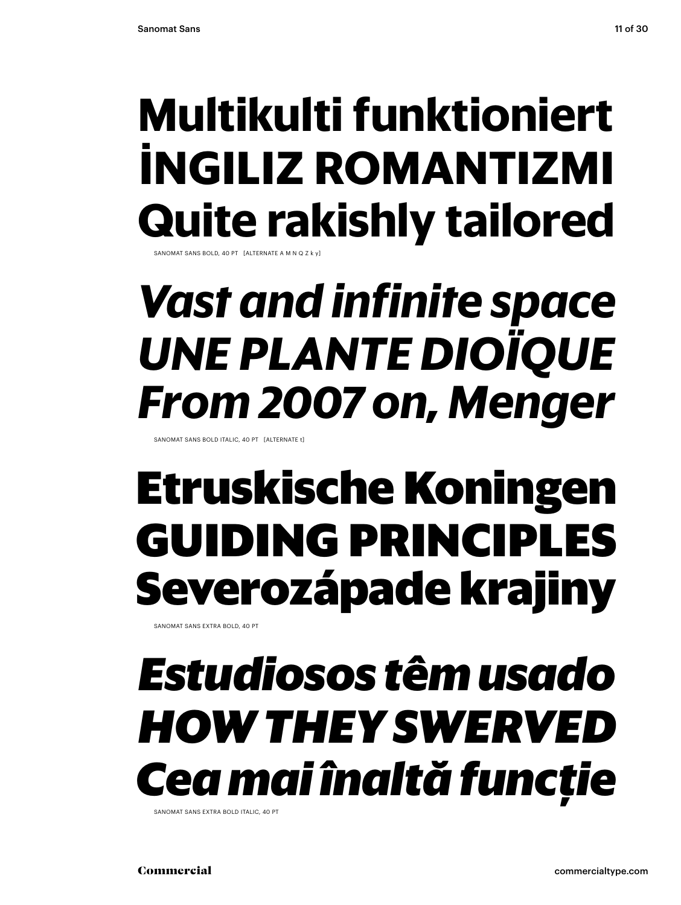### **Multikulti funktioniert İngiliz romantizmi Quite rakishly tailored**

SANOMAT SANS BOLD, 40 PT  $K$  alternate a m N Q  $\bar{z}$ 

### *Vast and infinite space une plante dioïque From 2007 on, Menger*

Sanomat Sans bold italic, 40 Pt [alternate t]

### **Etruskische Koningen guiding principles Severozápade krajiny**

Sanomat Sans extra bold, 40 Pt

## *Estudiosos têm usado how they swerved Cea mai înaltă funcție*

SANOMAT SANS EXTRA BOLD ITALIC, 40 PT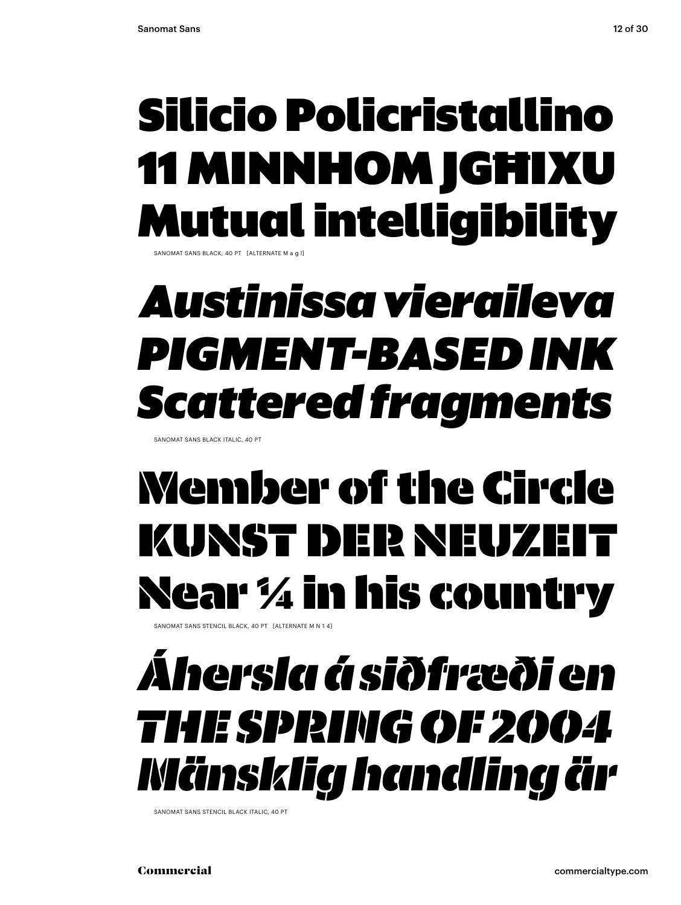### Silicio Policristallino 11 MINNHOM JGHIXU Mutual intelligibility

SANOMAT SANS BLACK, 40 PT [ALTERNATE M a g l]

### *Austinissa vieraileva pigment-based ink Scattered fragments*

Sanomat Sans black italic, 40 Pt

## Member of the Circle kunst der Neuzeit Near 1/4 in his country

SANOMAT SANS STENCIL BLACK, 40 PT [ALTERNATE M N 1 4]

### *Áhersla á siðfræði en the spring of 2004 Mänsklig handling är*

Sanomat Sans stencil black italic, 40 Pt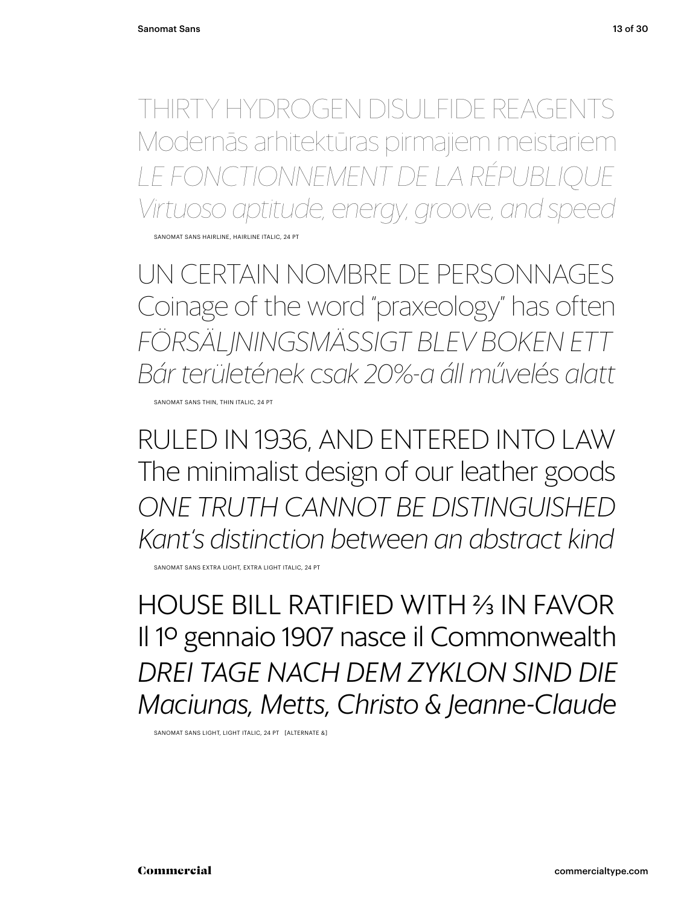thirty hydrogen disulfide reagents Modernās arhitektūras pirmajiem meistariem *le fonctionnement de la République Virtuoso aptitude, energy, groove, and speed* SANOMAT SANS HAIRLINE, HAIRLINE ITALIC, 24 PT

Un certain nombre de personnages Coinage of the word "praxeology" has often *Försäljningsmässigt blev boken ett Bár területének csak 20%-a áll művelés alatt*

SANOMAT SANS THIN, THIN ITALIC, 24 PT

Ruled in 1936, and entered into law The minimalist design of our leather goods *one Truth cannot be distinguished Kant's distinction between an abstract kind*

SANOMAT SANS EXTRA LIGHT, EXTRA LIGHT ITALIC, 24 PT

house bill ratified with 2/3 in favor Il 1º gennaio 1907 nasce il Commonwealth *Drei Tage nach dem Zyklon sind die Maciunas, Metts, Christo & Jeanne-Claude*

Sanomat Sans Light, Light italic, 24 Pt [alternate &]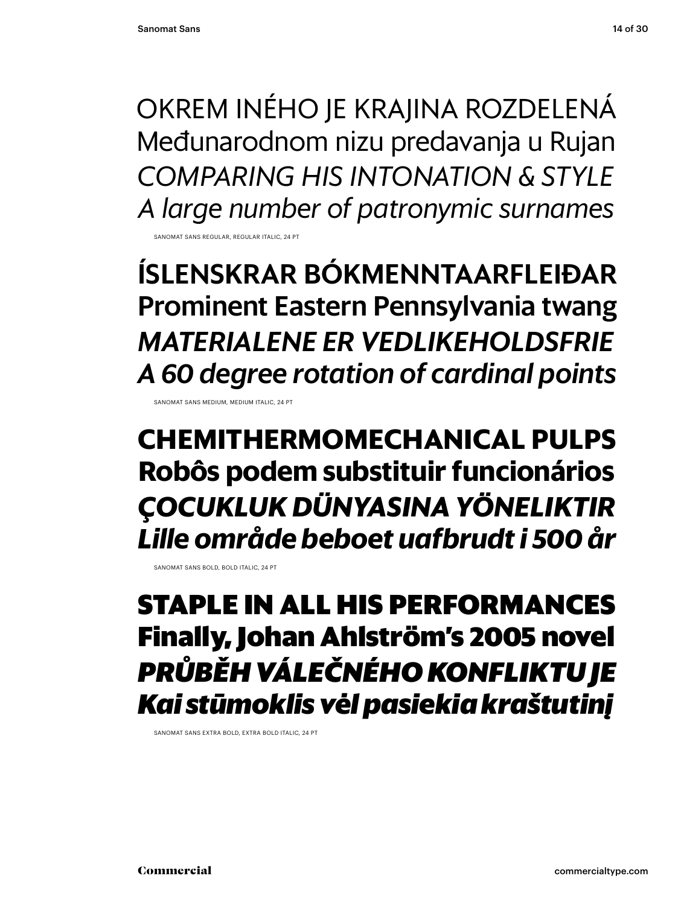Okrem iného je krajina rozdelená Međunarodnom nizu predavanja u Rujan *comparing his intonation & style A large number of patronymic surnames*

Sanomat Sans Regular, Regular italic, 24 Pt

íslenskrar bókmenntaarfleiðar Prominent Eastern Pennsylvania twang *materialene er vedlikeholdsfrie A 60 degree rotation of cardinal points*

Sanomat Sans Medium, Medium italic, 24 Pt

**Chemithermomechanical pulps Robôs podem substituir funcionários** *çocukluk dünyasına yöneliktir Lille område beboet uafbrudt i 500 år*

SANOMAT SANS BOLD, BOLD ITALIC, 24 PT

#### **staple in all his performances Finally, Johan Ahlström's 2005 novel** *Průběh válečného konfliktu je Kai stūmoklis vėl pasiekia kraštutinį*

Sanomat Sans extra bold, extra bold italic, 24 Pt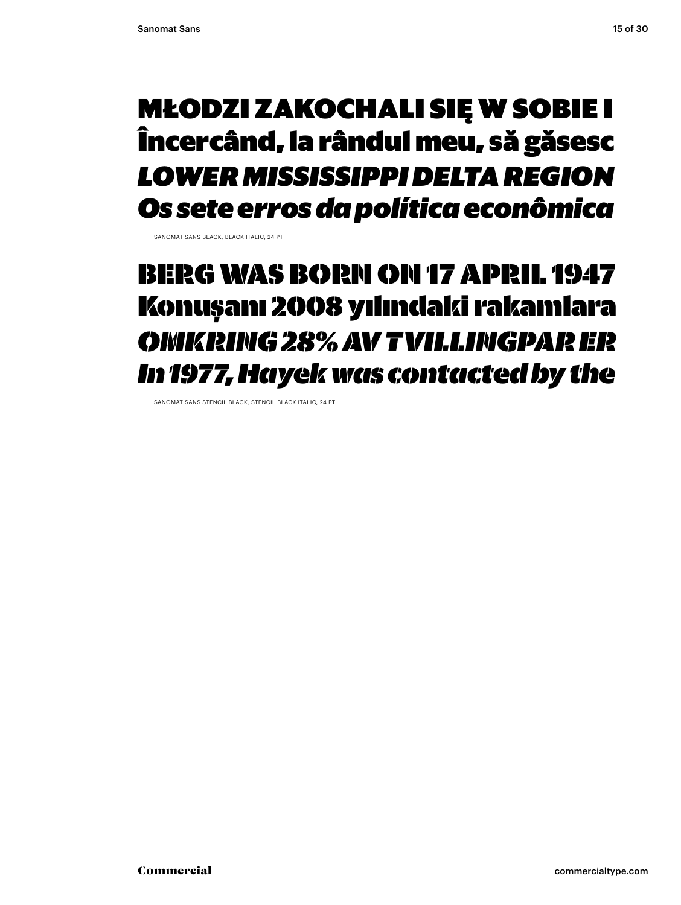#### Młodzi zakochali się w sobie i Încercând, la rândul meu, să găsesc *lower Mississippi delta region Os sete erros da política econômica*

Sanomat Sans black, black italic, 24 Pt

#### berg was born on 17 april 1947 Konuşanı 2008 yılındaki rakamlara *Omkring 28% av tvillingpar er In 1977, Hayek was contacted by the*

Sanomat Sans stencil black, stencil black italic, 24 Pt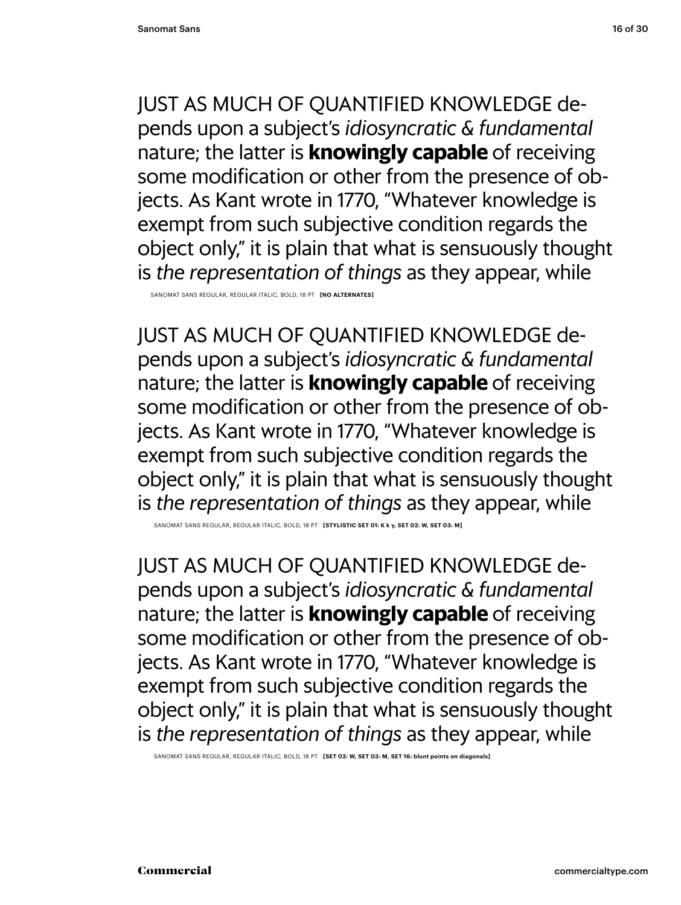Sanomat Sans regular, regular Italic, bold, 18 PT **[no alternates]**

just as much of quantified knowledge depends upon a subject's *idiosyncratic & fundamental* nature; the latter is **knowingly capable** of receiving some modification or other from the presence of objects. As Kant wrote in 1770, "Whatever knowledge is exempt from such subjective condition regards the object only," it is plain that what is sensuously thought is *the representation of things* as they appear, while

SANOMAT SANS REGULAR, REGULAR ITALIC, BOLD, 18 PT **[STYLISTIC SET 01: K k y, SET 02: W, SET 03: M]** 

just as much of quantified knowledge depends upon a subject's *idiosyncratic & fundamental* nature; the latter is **knowingly capable** of receiving some modification or other from the presence of objects. As Kant wrote in 1770, "Whatever knowledge is exempt from such subjective condition regards the object only," it is plain that what is sensuously thought is *the representation of things* as they appear, while

Sanomat Sans regular, regular Italic, bold, 18 PT **[Set 02: W, Set 03: M, Set 16: blunt points on diagonals]**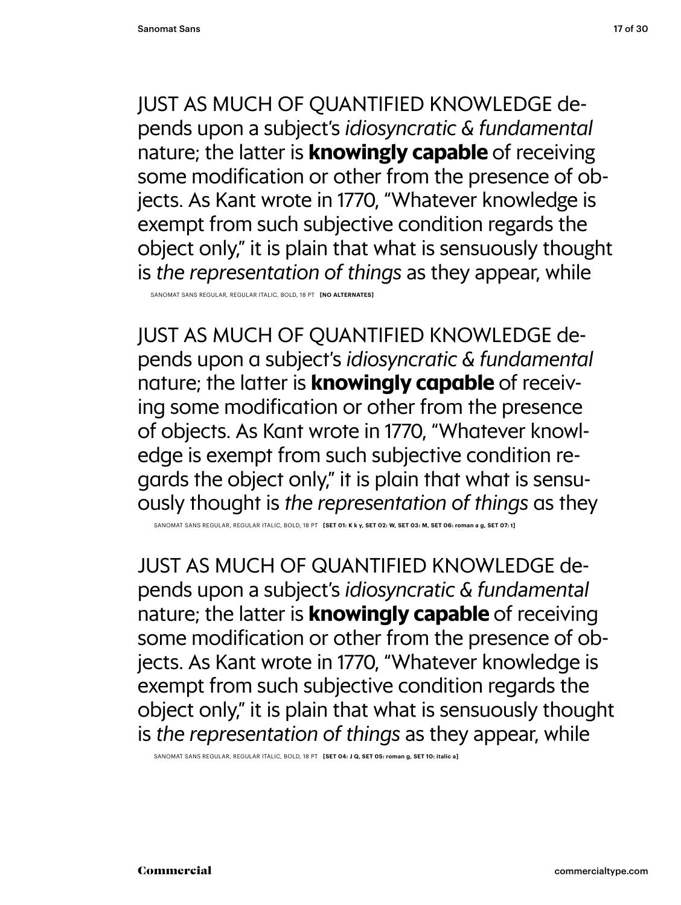Sanomat Sans regular, regular Italic, bold, 18 PT **[no alternates]**

just as much of quantified knowledge depends upon a subject's *idiosyncratic & fundamental* nature; the latter is **knowingly capable** of receiving some modification or other from the presence of objects. As Kant wrote in 1770, "Whatever knowledge is exempt from such subjective condition regards the object only," it is plain that what is sensuously thought is *the representation of things* as they

Sanomat Sans regular, regular Italic, bold, 18 PT **[Set 01: k k y, Set 02: w, Set 03: m, Set 06: roman a g, Set 07: t]**

just as much of quantified knowledge depends upon a subject's *idiosyncratic & fundamental* nature; the latter is **knowingly capable** of receiving some modification or other from the presence of objects. As Kant wrote in 1770, "Whatever knowledge is exempt from such subjective condition regards the object only," it is plain that what is sensuously thought is *the representation of things* as they appear, while

Sanomat Sans regular, regular Italic, bold, 18 PT **[Set 04: j q, Set 05: roman g, Set 10: italic a]**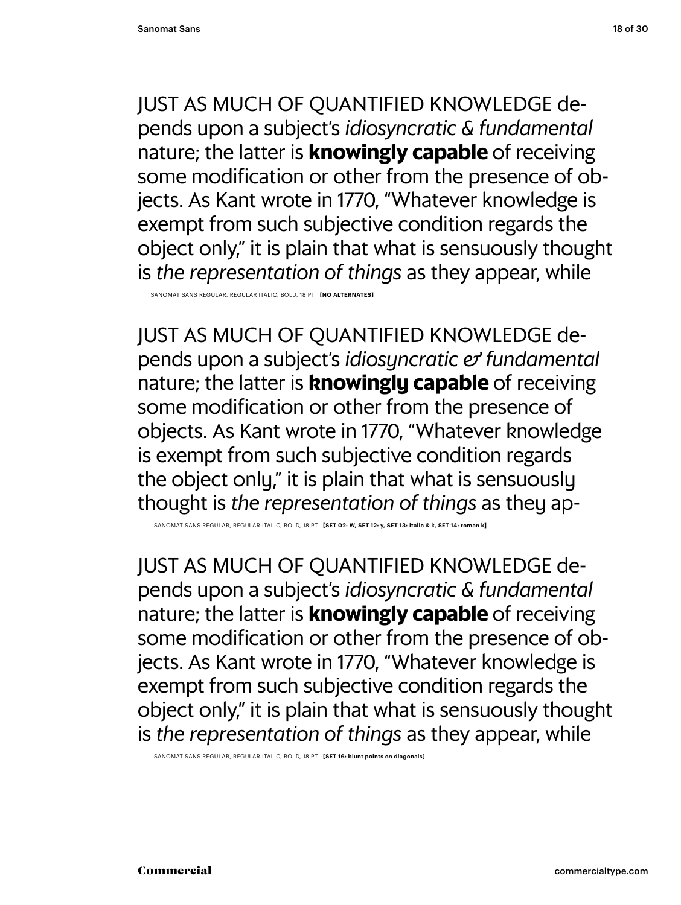Sanomat Sans regular, regular Italic, bold, 18 PT **[no alternates]**

just as much of quantified knowledge depends upon a subject's *idiosyncratic & fundamental* nature; the latter is **knowingly capable** of receiving some modification or other from the presence of objects. As Kant wrote in 1770, "Whatever knowledge is exempt from such subjective condition regards the object only," it is plain that what is sensuously thought is *the representation of things* as they ap-

Sanomat Sans regular, regular Italic, bold, 18 PT **[Set 02: w, Set 12: y, Set 13: italic & k, Set 14: roman k]**

just as much of quantified knowledge depends upon a subject's *idiosyncratic & fundamental* nature; the latter is **knowingly capable** of receiving some modification or other from the presence of objects. As Kant wrote in 1770, "Whatever knowledge is exempt from such subjective condition regards the object only," it is plain that what is sensuously thought is *the representation of things* as they appear, while

Sanomat Sans regular, regular Italic, bold, 18 PT **[Set 16: blunt points on diagonals]**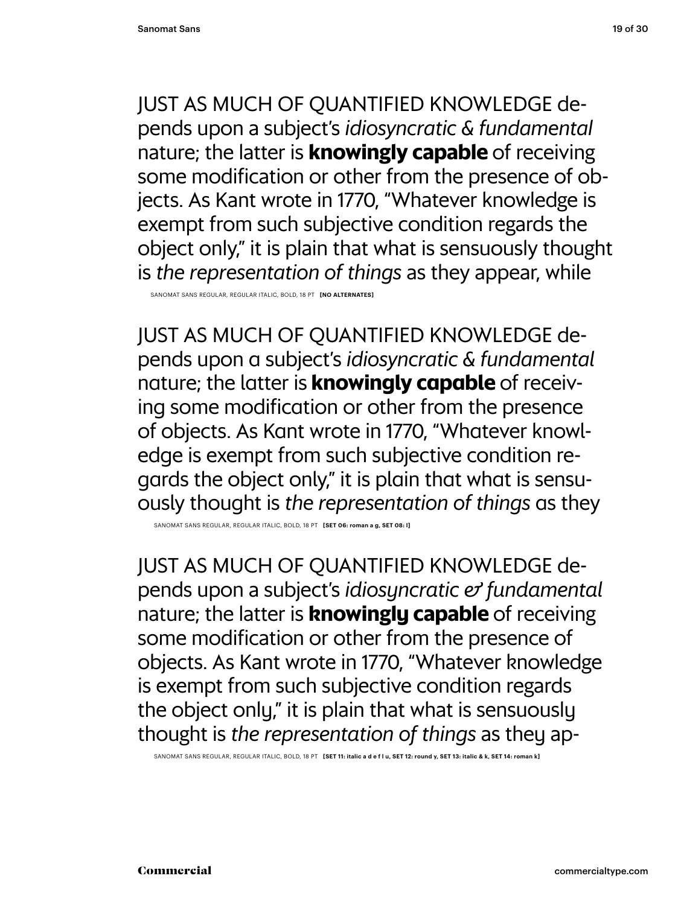Sanomat Sans regular, regular Italic, bold, 18 PT **[no alternates]**

just as much of quantified knowledge depends upon a subject's *idiosyncratic & fundamental* nature; the latter is **knowingly capable** of receiving some modification or other from the presence of objects. As Kant wrote in 1770, "Whatever knowledge is exempt from such subjective condition regards the object only," it is plain that what is sensuously thought is *the representation of things* as they

Sanomat Sans regular, regular Italic, bold, 18 PT **[Set 06: roman a g, Set 08: l]**

just as much of quantified knowledge depends upon a subject's *idiosyncratic & fundamental* nature; the latter is **knowingly capable** of receiving some modification or other from the presence of objects. As Kant wrote in 1770, "Whatever knowledge is exempt from such subjective condition regards the object only," it is plain that what is sensuously thought is *the representation of things* as they ap-

Sanomat Sans regular, regular Italic, bold, 18 PT **[Set 11: italic a d e f l u, Set 12: round y, Set 13: italic & k, Set 14: roman k]**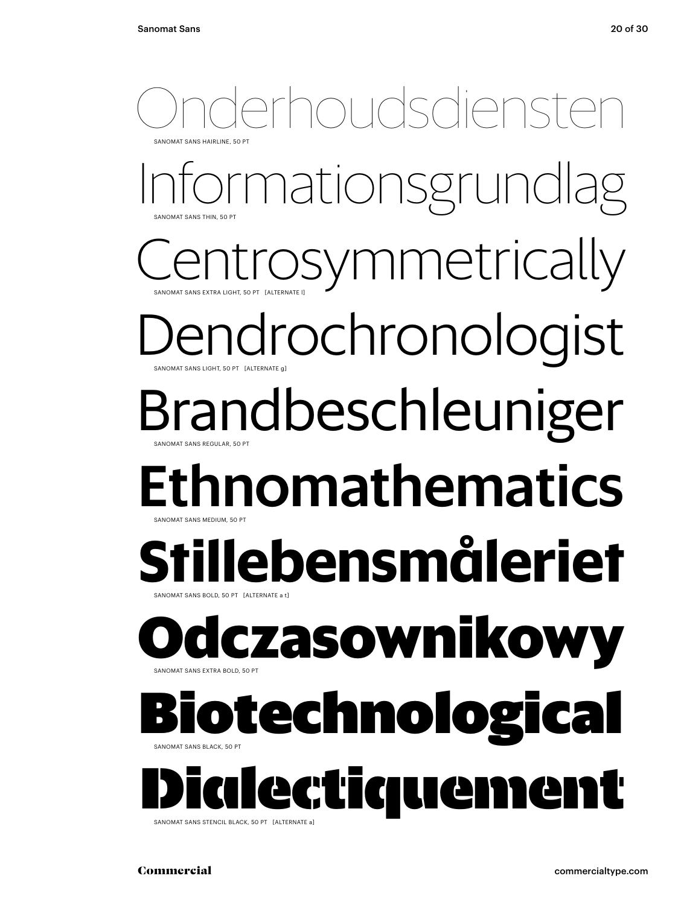#### choudsdiens Sanomat Sans Hairline, 50 Pt

mationsgrundlag Sanomat Sans Thin, 50 Pt

Sanomat Sans Extra Light, 50 Pt [alternate l] *symmetrically* 

#### endrochronologist SANOMAT SANS LIGHT, 50 PT [ALTERNATE]

## Brandbeschleuniger

Sanomat Sans Regular, 50 Pt

#### Ethnomathematics Sanomat Sans Medium, 50 Pt

#### **Stillebensmåleriet** Sanomat Sans bold, 50 Pt [alternate a t]

#### **O**SANOMAT SANS EXTRA BOLD, 50 PT **dczasownikowy**

#### technologi SANOMAT SANS BLACK, 50 PT

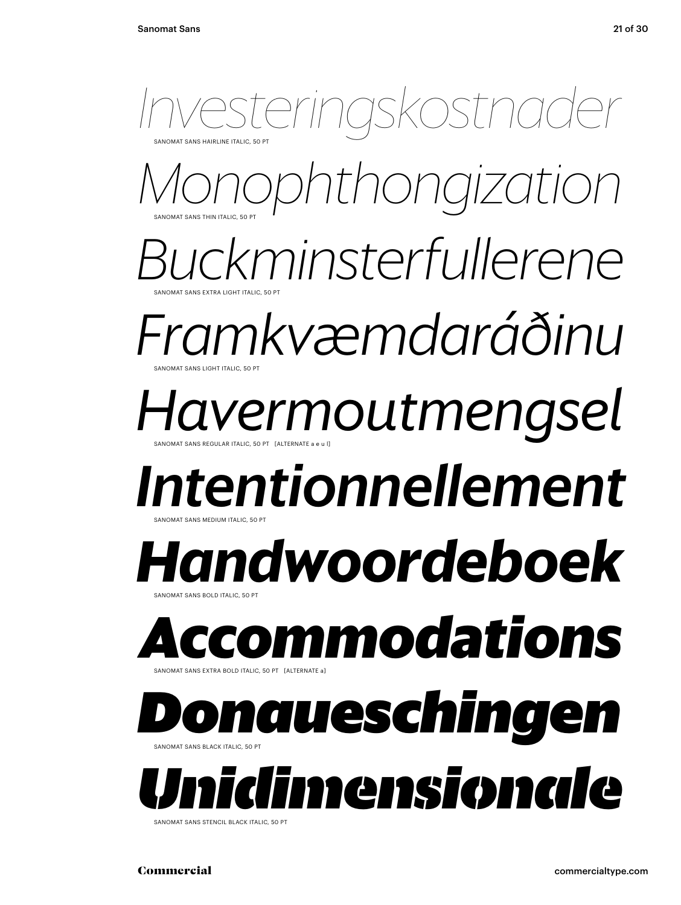

SANOMAT SANS STENCIL BLACK ITALIC, 50 PT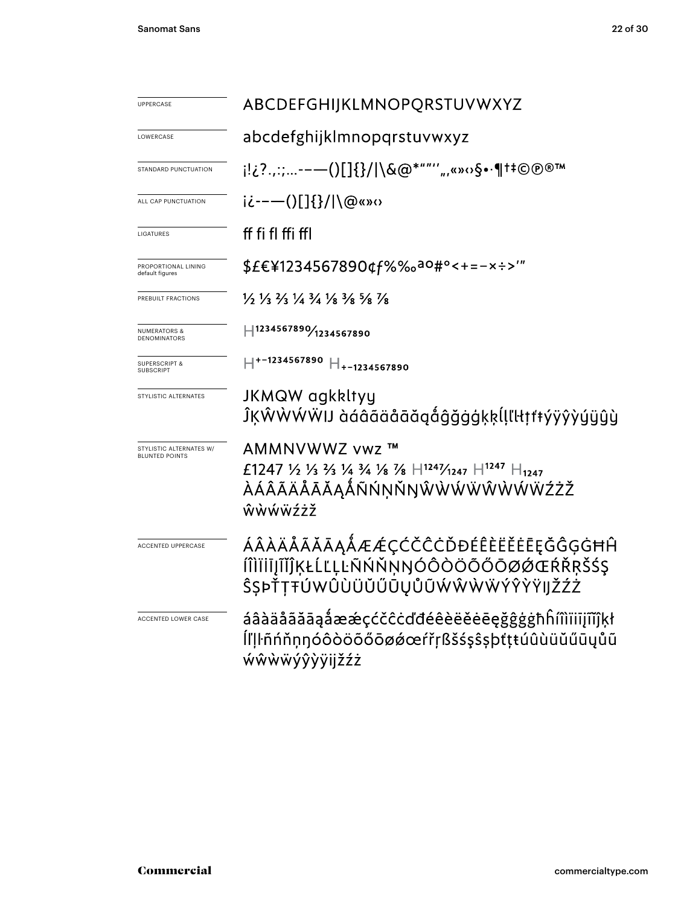| <b>UPPERCASE</b>                                 | ABCDEFGHIJKLMNOPQRSTUVWXYZ                                                                                                       |
|--------------------------------------------------|----------------------------------------------------------------------------------------------------------------------------------|
| LOWERCASE                                        | abcdefghijklmnopqrstuvwxyz                                                                                                       |
| STANDARD PUNCTUATION                             | ¡!¿?.,:;-—()[]{}/ \&@*""'′",«»⇔§•·¶†‡©®®™                                                                                        |
| ALL CAP PUNCTUATION                              | ii---()[]{}/ \@«»0                                                                                                               |
| LIGATURES                                        | ff fi fl ffi ffl                                                                                                                 |
| PROPORTIONAL LINING<br>default figures           | \$£€¥1234567890¢f%‰a0#°<+=-x÷>'"                                                                                                 |
| PREBUILT FRACTIONS                               | $\frac{1}{2}$ $\frac{1}{3}$ $\frac{2}{3}$ $\frac{1}{4}$ $\frac{3}{4}$ $\frac{1}{8}$ $\frac{3}{8}$ $\frac{5}{8}$ $\frac{7}{8}$    |
| <b>NUMERATORS &amp;</b><br><b>DENOMINATORS</b>   | H1234567890/1234567890                                                                                                           |
| <b>SUPERSCRIPT &amp;</b><br><b>SUBSCRIPT</b>     | $H^{+-1234567890}$ $H_{+-1234567890}$                                                                                            |
| STYLISTIC ALTERNATES                             | JKMQW agkkltyy<br>ĴĶŴŴŴŴIJ àáâãäåāăąåĝǧġġķķĺļľŀŧţŧŧýÿŷỳýÿŷŷ                                                                      |
| STYLISTIC ALTERNATES W/<br><b>BLUNTED POINTS</b> | AMMNVWWZ vwz ™<br>£1247 1/2 1/3 3/4 3/4 1/8 7/8 $H^{1247}$ /1247 $H^{1247}$ $H_{1247}$<br>ÀÁÂÃÄÅÅĀĂĄÅÑŃŅŇŊŴŴŴŴŴŴŴŸŹŻŽ<br>ŵẁẃẅźżž |
| <b>ACCENTED UPPERCASE</b>                        | ÁÂÀÄÅÃĂĀĄÅÆÆÇĆČĈĊĎĐÉÊÈËĔĒĘĞĜĢĠĦĤ<br>ÍÎÌÏIĪJĨĬĴĶŁĹĽĻĿÑŃŇŅŊÓÔÒÖÕŐŌØØŒŔŘŖŠŚŞ<br>ŜŞÞŤŢŦÚWÛÙÜŬŰŨŲŮŨŴŴŴŴÝŶŶŸIJŽŹŻ                      |
| ACCENTED LOWER CASE                              | áâàäåãăāaåææçćčĉċďđéêèëĕēeğĝġġħĥíîìïiijĩĭĵķł<br>ĺľļŀñńňņŋóôòöõőōøǿœŕřŗßšśşŝṣþťţŧúûùüŭűūųůũ<br><b>wŵwwyŷyyijžźż</b>               |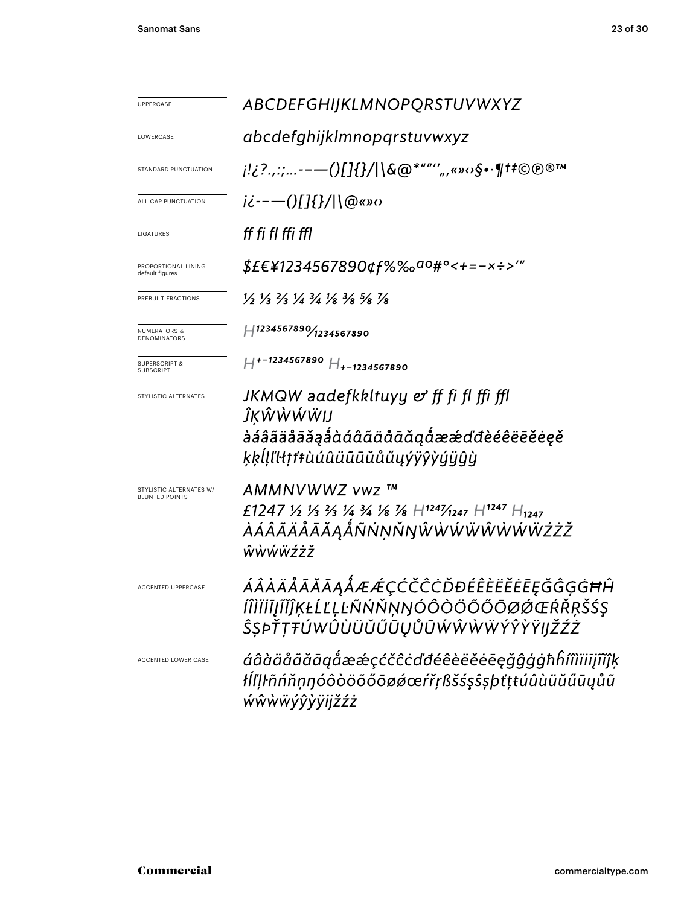| <b>UPPERCASE</b>                                 | ABCDEFGHIJKLMNOPQRSTUVWXYZ                                                                                                    |
|--------------------------------------------------|-------------------------------------------------------------------------------------------------------------------------------|
| LOWERCASE                                        | abcdefghijklmnopgrstuvwxyz                                                                                                    |
| <b>STANDARD PUNCTUATION</b>                      | j!¿?.,:;-—()[]{}/ \&@*""'′",«»ഗ§•·¶†‡©℗®™                                                                                     |
| ALL CAP PUNCTUATION                              | $i\dot{\epsilon}$ -- $\leftarrow$ ()[]{}/ \@«» $\circ$                                                                        |
| LIGATURES                                        | ff fi fl ffi ffl                                                                                                              |
| PROPORTIONAL LINING<br>default figures           | \$£€¥1234567890¢f%‰ <sup>ao</sup> #°<+=-×÷>′″                                                                                 |
| PREBUILT FRACTIONS                               | $\frac{1}{2}$ $\frac{1}{3}$ $\frac{2}{3}$ $\frac{1}{4}$ $\frac{3}{4}$ $\frac{1}{8}$ $\frac{3}{8}$ $\frac{5}{8}$ $\frac{7}{8}$ |
| <b>NUMERATORS &amp;</b><br>DENOMINATORS          | H1234567890/1234567890                                                                                                        |
| SUPERSCRIPT &<br>SUBSCRIPT                       | $H^{+-1234567890}$ $H_{+-1234567890}$                                                                                         |
| STYLISTIC ALTERNATES                             | JKMQW aadefkkltuyy & ff fi fl ffi ffl<br>ĴĶŴŴŴŴIJ<br>àáâãäåāăąåàáâãäåāäąåææďđèéêëēĕėęě<br>ķķĺļľŀłŗŕŧùúûüūūŭůűyýÿŷỳýÿŷŷ        |
| STYLISTIC ALTERNATES W/<br><b>BLUNTED POINTS</b> | AMMNVWWZ vwz ™<br>£1247 ½ ½ ½ ¼ ¾ ½ % H1241/1247 H1247 H <sub>1247</sub><br><i>ÀÁÂÃÄÅĀĂĄÅÑŃŅŇŊŴŴŴŴŴŴŴŸŹŻŽ</i><br>ŵẁẃẅźżž      |
| <b>ACCENTED UPPERCASE</b>                        | ÁÂÀÄÅÃĂĀĄÅÆÆÇĆČĈĊĎĐÉÊÈËĔĒĘĞĜĢĠĦĤ<br>ÍÎÌÏİĮĨĬĴĶŁĹĽĻĿÑŃŇŅŊÓÔÒÖÕŐŌØØŒŔŘŖŠŚŞ<br>ŜŞÞŤŢŦÚWÛÙÜŬŰŨŲŮŨŴŴŴŴÝŶŶŸIJŽŹŻ                    |
| ACCENTED LOWER CASE                              | áâàäåããāąåææçćčĉċďđéêèëĕēēęğĝģġħĥíîìïijĩĭĵķ<br>łĺľļŀñńňņŋóôòöõőōøǿœŕřŗßšśşŝșþťţŧúûùüŭűūųůũ<br>ŵŵẁ <i>ŵ</i> ÿŷỳÿijžźż          |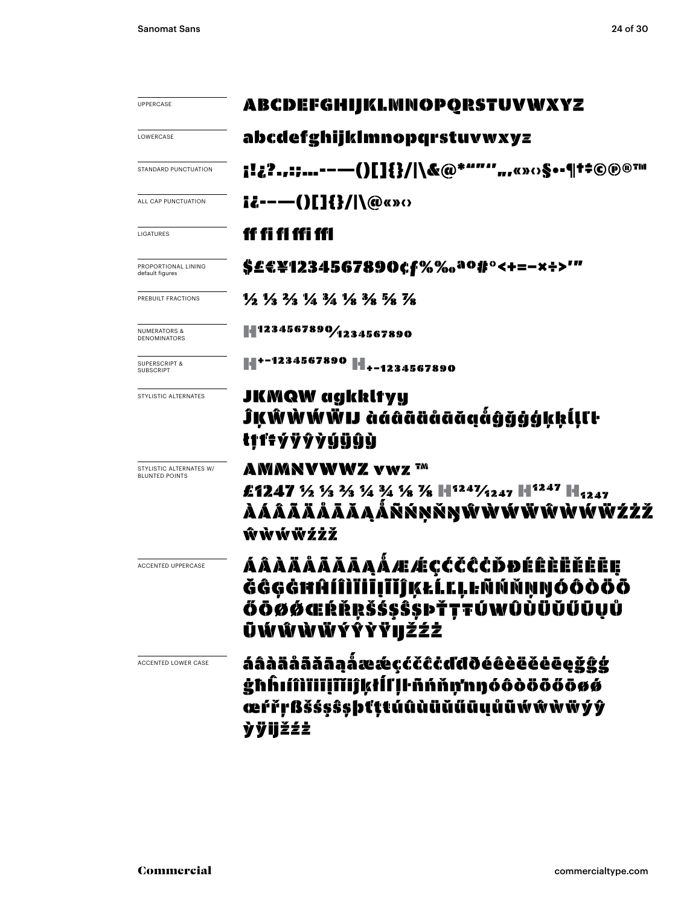| <b>UPPERCASE</b>                                 | <b>ABCDEFGHIJKLMNOPQRSTUVWXYZ</b>                                                                                             |  |  |  |  |
|--------------------------------------------------|-------------------------------------------------------------------------------------------------------------------------------|--|--|--|--|
| LOWERCASE                                        | abcdefghijklmnopqrstuvwxyz                                                                                                    |  |  |  |  |
| STANDARD PUNCTUATION                             | i!¿?.,:;--—()[]{}/ \&@*""",,«»‹›§••¶t‡©@®™                                                                                    |  |  |  |  |
| ALL CAP PUNCTUATION                              | $i\ell$ ----()[]{}/ \@«» $\circ$                                                                                              |  |  |  |  |
| LIGATURES                                        | ff fi fl ffi ffl                                                                                                              |  |  |  |  |
| PROPORTIONAL LINING<br>default figures           | \$£€¥1234567890¢f%‰ <sup>ao</sup> #°<+=-×÷>'"                                                                                 |  |  |  |  |
| PREBUILT FRACTIONS                               | $\frac{1}{2}$ $\frac{1}{3}$ $\frac{2}{3}$ $\frac{1}{4}$ $\frac{3}{4}$ $\frac{1}{8}$ $\frac{3}{8}$ $\frac{5}{8}$ $\frac{7}{8}$ |  |  |  |  |
| <b>NUMERATORS &amp;</b><br><b>DENOMINATORS</b>   | 1234567890/1234567890                                                                                                         |  |  |  |  |
| <b>SUPERSCRIPT &amp;</b><br><b>SUBSCRIPT</b>     |                                                                                                                               |  |  |  |  |
| STYLISTIC ALTERNATES                             | JKMQW agkkltyy<br>ĴĶŴŴŴŴIJ àáâãäåãõiğĝğġġkkĺlſŀ<br>tŗŕŧýÿŷỳýÿŷỳ                                                               |  |  |  |  |
| STYLISTIC ALTERNATES W/<br><b>BLUNTED POINTS</b> | AMMNVWWZ vwz ™<br>£1247 % % % % % % % H1241/2247 H1247 H <sub>1247</sub><br>ÀÁÂÃÄÅÅĀĀĄÅŘŃŅŴŴŴŴŴŴŴŴŴŸŹŻŽ<br>ŵŵŵŵżżž            |  |  |  |  |
| <b>ACCENTED UPPERCASE</b>                        | ááàäääāāaåæé¢čččbđéêèëĕee<br>ĞĜGĠĦĤÍÎÌĬĪĪĪĬĴĶŁĹĽĻĿÑŃŇŅŊÓÔŎŎŌ<br>ŐŌØØŒŔŘŖŠŚ\$Ŝ\$ÞŤŢŦÚWÛÙÜŬŰŪŲŮ<br>ŨŴŴŴŴÝŶŶŸIJŽŹŻ               |  |  |  |  |
| ACCENTED LOWER CASE                              | áâàäåããāaaåææçćčĉċďđðéêèëéēeġģģģ<br>ġħĥıíîìïiiįĩiĵķŧĺľļŀñńňņ'nŋóôòōōőōøø<br>œŕřŗßšśşŝşþťttúûùüŭűūųůũẃŵŵẁŸý<br><b>ỳÿijžźż</b>  |  |  |  |  |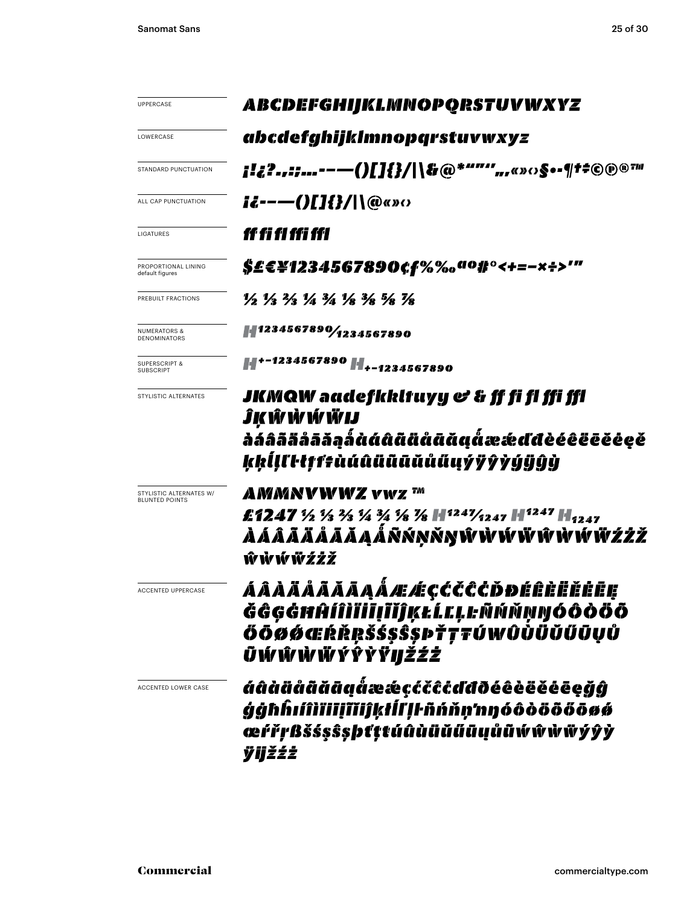| <b>UPPERCASE</b>                                 | ABCDEFGHIJKLMNOPQRSTUVWXYZ                                                                                                                       |
|--------------------------------------------------|--------------------------------------------------------------------------------------------------------------------------------------------------|
| LOWERCASE                                        | abcdefghijklmnopqrstuvwxyz                                                                                                                       |
| <b>STANDARD PUNCTUATION</b>                      | <b>;!¿?.,:;---()[]{}/ \&amp;@*""",,«»:›§•-¶t‡©®®™</b>                                                                                            |
| ALL CAP PUNCTUATION                              | $i\ell$ ----()[]{}/ \@«» $\circ$                                                                                                                 |
| LIGATURES                                        | ff fi fl ffi ffl                                                                                                                                 |
| PROPORTIONAL LINING<br>default figures           | \$£E¥1234567890¢f%‰ <sup>ao</sup> #°<+=-×÷>'"                                                                                                    |
| PREBUILT FRACTIONS                               | 1/2 1/3 2/3 1/4 3/4 3/8 3/8 7/8                                                                                                                  |
| <b>NUMERATORS &amp;</b><br>DENOMINATORS          | 1234567890/1234567890                                                                                                                            |
| <b>SUPERSCRIPT &amp;</b><br><b>SUBSCRIPT</b>     |                                                                                                                                                  |
| STYLISTIC ALTERNATES                             | JKMQW aadefkkltuyy & & ff fi fl ffi ffl<br>ĴK Ŵ Ŵ Ŵ Ŵ W<br>ล่ล์ลิลิล็ลลิลิลูล็ตตติติติตตติตต์ และส่งติดีออยออุอั<br>kkĺlľŀłffŧùúûüũūŭůűųýÿŷỳýÿĝỳ |
| STYLISTIC ALTERNATES W/<br><b>BLUNTED POINTS</b> | AMMNVWWZ vwz ™<br>£1247 ½ ½ ¾ ¾ ¾ % H1241⁄1247 H1247 H <sub>1247</sub><br>ÀÁÂÃÄÅÅĀĂĄÅÑŃŅŇŊŴŴŴŴŴŴŴŴ <i>ŻŻŽ</i><br>ŴŴŴŴŹŻŽ                         |
| <b>ACCENTED UPPERCASE</b>                        | ÁÂÀÄÅÃÃĀĄÅÆÆÇĆČĈČĎĐÉÊÈËĔĒĘ<br>ĞĜĢĠĦĤÍÎÌĬİĪĮĨĬĴĶŁĹĽĻĿÑŃŇŅŊÓÔÒÖÕ<br>ŐŌØØŒŔŘŖŠŚ\$Ŝ\$ÞŤŢŦÚWÛÙŨŬŰŪŲŮ<br>ŨŴŴŴŴŸŶŶŸIJ <i>ŽŹŻ</i>                        |
| ACCENTED LOWER CASE                              | áâàäåãããã@åææ¢¢čĉċďđðéêèëěēeġĝ<br>ģģhĥıíîìïiiiĭĭiĵķŧĺľḷŀñńňṇ'nŋóôòöōőōøø<br>œŕřŗßšśşŝşþťţtúûùüŭűūųůũŃŵŵฟัyŷỳ<br>ÿijžźż                           |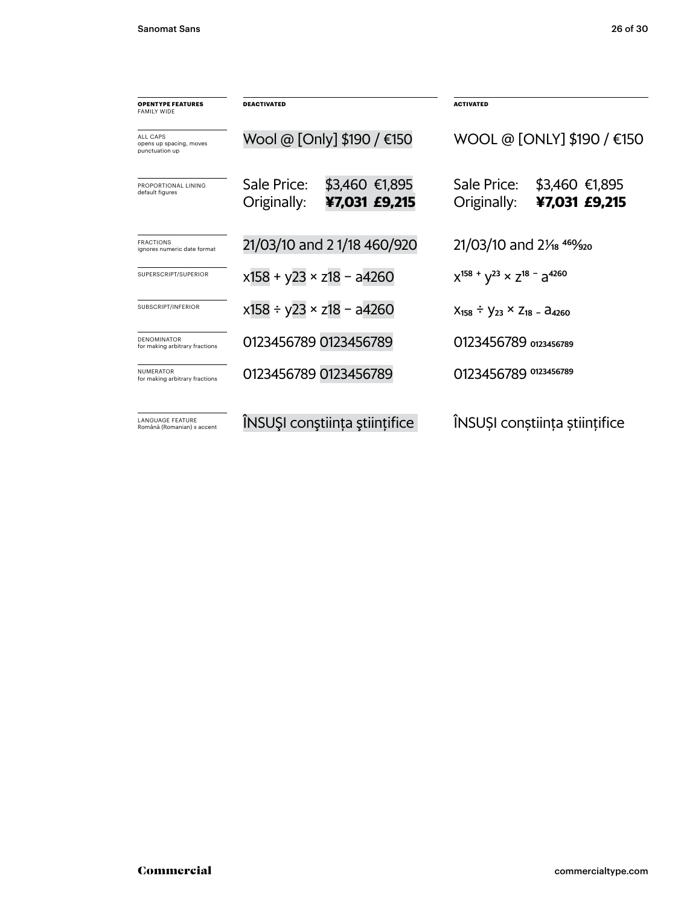| <b>OPENTYPE FEATURES</b><br><b>FAMILY WIDE</b>               | <b>DEACTIVATED</b>              |                                    | <b>ACTIVATED</b>                                  |                                                |  |
|--------------------------------------------------------------|---------------------------------|------------------------------------|---------------------------------------------------|------------------------------------------------|--|
| <b>ALL CAPS</b><br>opens up spacing, moves<br>punctuation up | Wool @ [Only] \$190 / €150      |                                    | WOOL @ [ONLY] \$190 / €150                        |                                                |  |
| PROPORTIONAL LINING<br>default figures                       | Sale Price:<br>Originally:      | \$3,460 €1,895<br>¥7,031 £9,215    | Sale Price:<br>Originally:                        | \$3,460 €1,895<br>¥7,031 £9,215                |  |
| <b>FRACTIONS</b><br>ignores numeric date format              | 21/03/10 and 21/18 460/920      |                                    | 21/03/10 and 21/ <sub>8</sub> 469/ <sub>920</sub> |                                                |  |
| SUPERSCRIPT/SUPERIOR                                         | $x158 + y23 \times z18 - a4260$ |                                    | $X^{158}$ + $V^{23}$ × $Z^{18}$ - $a^{4260}$      |                                                |  |
| SUBSCRIPT/INFERIOR                                           |                                 | $x158 \div y23 \times z18 - a4260$ |                                                   | $X_{158} \div Y_{23} \times Z_{18} - Z_{4260}$ |  |
| <b>DENOMINATOR</b><br>for making arbitrary fractions         |                                 | 0123456789 0123456789              |                                                   | 0123456789 0123456789                          |  |
| <b>NUMERATOR</b><br>for making arbitrary fractions           | 0123456789 0123456789           |                                    | 0123456789 0123456789                             |                                                |  |
| <b>LANGUAGE FEATURE</b><br>Română (Romanian) s accent        | ÎNSUȘI conștiința științifice   |                                    | ÎNSUȘI conștiința științifice                     |                                                |  |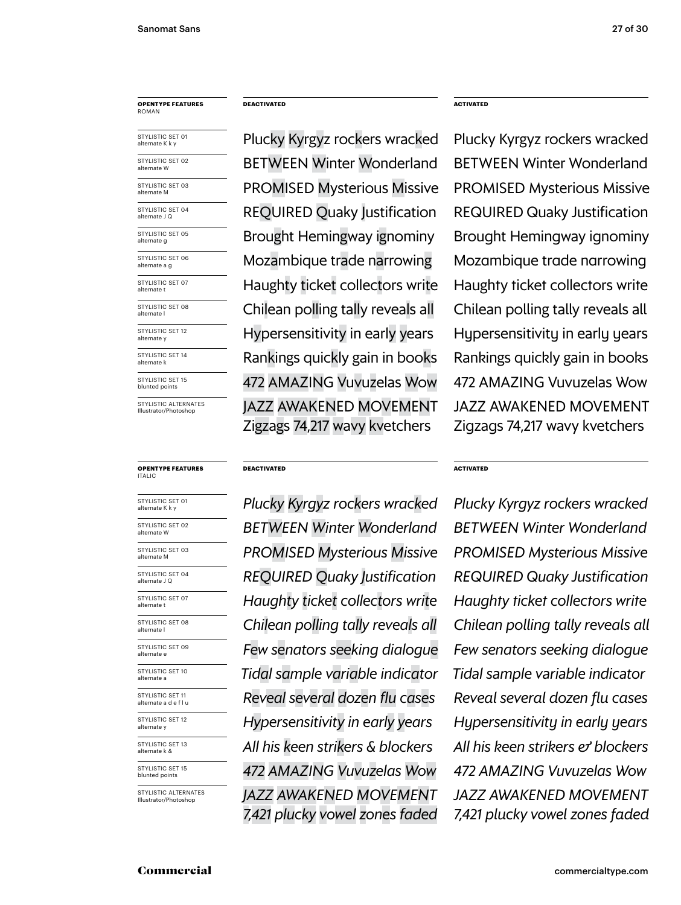#### **opentype FEATUREs DEACTIVATED ACTIVATED** roman

| STYLISTIC SET 01<br>alternate K k y |
|-------------------------------------|
| STYLISTIC SET 02<br>alternate W     |
| STYLISTIC SET 03<br>alternate M     |
| STYLISTIC SET 04<br>alternate J Q   |
| STYLISTIC SET 05<br>alternate g     |
| STYLISTIC SET 06<br>alternate a g   |
| STYLISTIC SET 07<br>alternate t     |
| STYLISTIC SET 08<br>alternate l     |
| STYLISTIC SET 12<br>alternate y     |
| STYLISTIC SET 14<br>alternate k     |
| STYLISTIC SET 15<br>blunted points  |
|                                     |

STYLISTIC ALTERNATES Illustrator/Photoshop

#### italic

| STYLISTIC SET 01<br>alternate K k y           |
|-----------------------------------------------|
| STYLISTIC SET 02<br>alternate W               |
| STYLISTIC SET 03<br>alternate M               |
| STYLISTIC SET 04<br>alternate J Q             |
| STYLISTIC SET 07<br>alternate t               |
| STYLISTIC SET 08<br>alternate l               |
| STYLISTIC SET 09<br>alternate e               |
| STYLISTIC SET 10<br>alternate a               |
| STYLISTIC SET 11<br>alternate a d e f l u     |
| STYLISTIC SET 12<br>alternate y               |
| STYLISTIC SET 13<br>alternate k &             |
| STYLISTIC SET 15<br>blunted points            |
| STYLISTIC ALTERNATES<br>Illustrator/Photoshop |
|                                               |

Plucky Kyrgyz rockers wracked Plucky Kyrgyz rockers wracked BETWEEN Winter Wonderland BETWEEN Winter Wonderland REQUIRED Quaky Justification REQUIRED Quaky Justification Mozambique trade narrowing Mozambique trade narrowing Rankings quickly gain in books Rankings quickly gain in books Haughty ticket collectors write Haughty ticket collectors write Chilean polling tally reveals all Chilean polling tally reveals all Hypersensitivity in early years Hypersensitivity in early years 472 amazing Vuvuzelas Wow 472 amazing Vuvuzelas Wow Jazz awakened movement Zigzags 74,217 wavy kvetchers

**opentype FEATUREs DEACTIVATED ACTIVATED**

*between Winter Wonderland between Winter Wonderland promised Mysterious Missive Promised Mysterious Missive required Quaky Justification required Quaky Justification Few senators seeking dialogue Few senators seeking dialogue Tidal sample variable indicator Tidal sample variable indicator Reveal several dozen flu cases Reveal several dozen flu cases All his keen strikers & blockers All his keen strikers & blockers Haughty ticket collectors write Haughty ticket collectors write Hypersensitivity in early years Hypersensitivity in early years 472 amazing Vuvuzelas Wow 472 amazing Vuvuzelas Wow Jazz awakened movement 7,421 plucky vowel zones faded*

promised Mysterious Missive Promised Mysterious Missive Brought Hemingway ignominy Brought Hemingway ignominy Jazz awakened movement Zigzags 74,217 wavy kvetchers

*Plucky Kyrgyz rockers wracked Plucky Kyrgyz rockers wracked Chilean polling tally reveals all Chilean polling tally reveals all Jazz awakened movement 7,421 plucky vowel zones faded*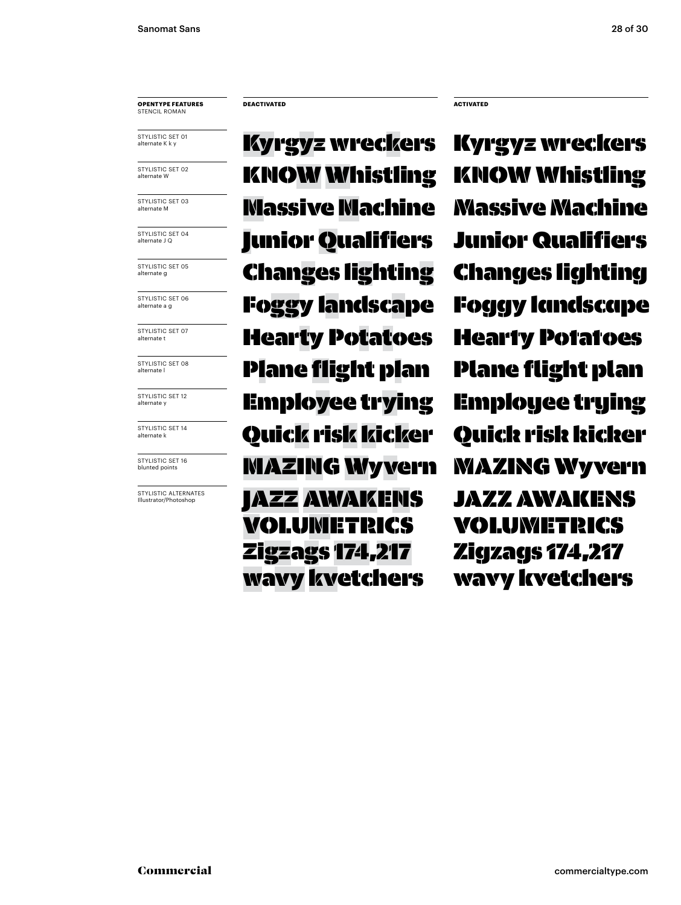#### **opentype FEATUREs** Stencil roman

STYLISTIC SET 01 alternate K k y

STYLISTIC SET 02 alternate W

STYLISTIC SET 03 alternate M

STYLISTIC SFT 04 alternate J Q

STYLISTIC SET 05 alternate g

STYLISTIC SET 06 alternate a g

STYLISTIC SET 07 alternate t

STYLISTIC SET 08 alternate l

STYLISTIC SET 12 alternate y

STYLISTIC SET 14 alternate k

STYLISTIC SET 16 blunted points

STYLISTIC ALTERNATES<br>Illustrator/Photoshop

KNOW Whistling KNOW Whistling Massive Machine Massive Machine Junior Qualifiers Junior Qualifiers Employee trying Employee trying Hearty Potatoes Hearty Potatoes mazing Wyvern mazing Wyvern Plane flight plan Plane flight plan Changes lighting Changes lighting Foggy landscape Foggy landscape Quick risk kicker Quick risk kicker Kyrgyz wreckers IAZZ AWAKENS volumetrics Zigzags 174,217 wavy kvetchers

**DEACTIVATED ACTIVATED**

Kyrgyz wreckers Jazz awakens volumetrics Zigzags 174,217 wavy kvetchers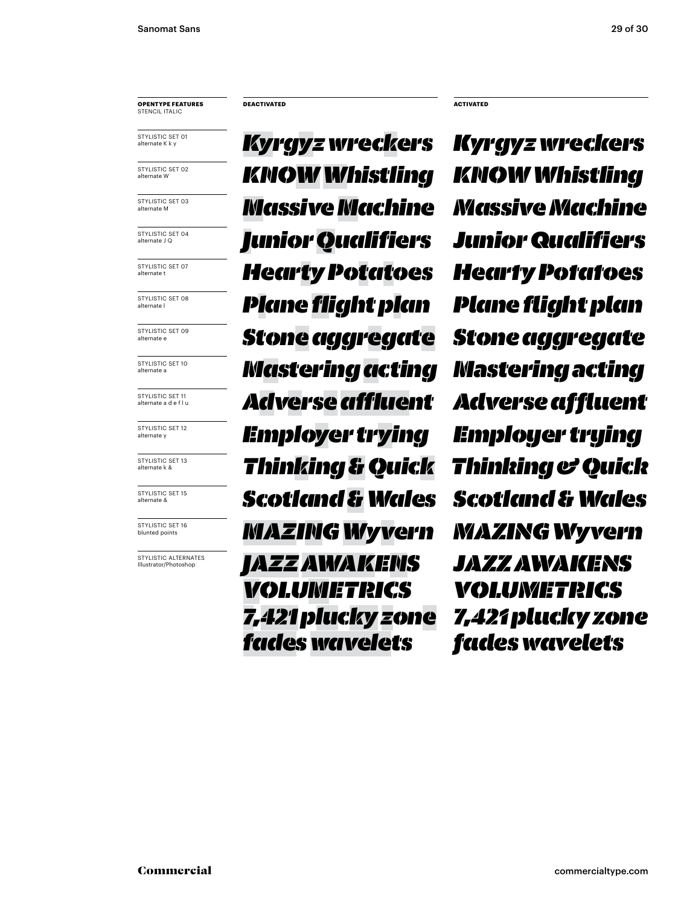#### **opentype FEATUREs** Stencil italic

STYLISTIC SET 01 alternate K k y

STYLISTIC SET 02 alternate W

STYLISTIC SET 03 alternate M

STYLISTIC SET 04 alternate J Q

STYLISTIC SFT 07 alternate t

STYLISTIC SET 08 alternate l

STYLISTIC SET 09 alternate e

STYLISTIC SET 10 alternate a

STYLISTIC SET 11 alternate a d e f l u

STYLISTIC SET 12 alternate y

STYLISTIC SET 13 alternate k &

STYLISTIC SET 15 alternate &

STYLISTIC SET 16 blunted points

STYLISTIC ALTERNATES Illustrator/Photoshop

*KNOWWhistling knowWhistling Massive Machine Massive Machine Junior Qualifiers Junior Qualifiers Employer trying Employer trying Hearty Potatoes Hearty Potatoes mazingWyvern Jazzawakens volumetrics 7,421 pluckyzone fades wavelets Plane flight plan Plane flight plan Kyrgyz wreckers Stone aggregate Stone aggregate Mastering acting Mastering acting Adverseaffluent Adverse affluent Thinking & Quick Thinking & Quick Scotland & Wales Scotland & Wales*

**DEACTIVATED ACTIVATED**

*Kyrgyz wreckers Jazz awakens volumetrics 7,421 plucky zone fades wavelets mazingWyvern*